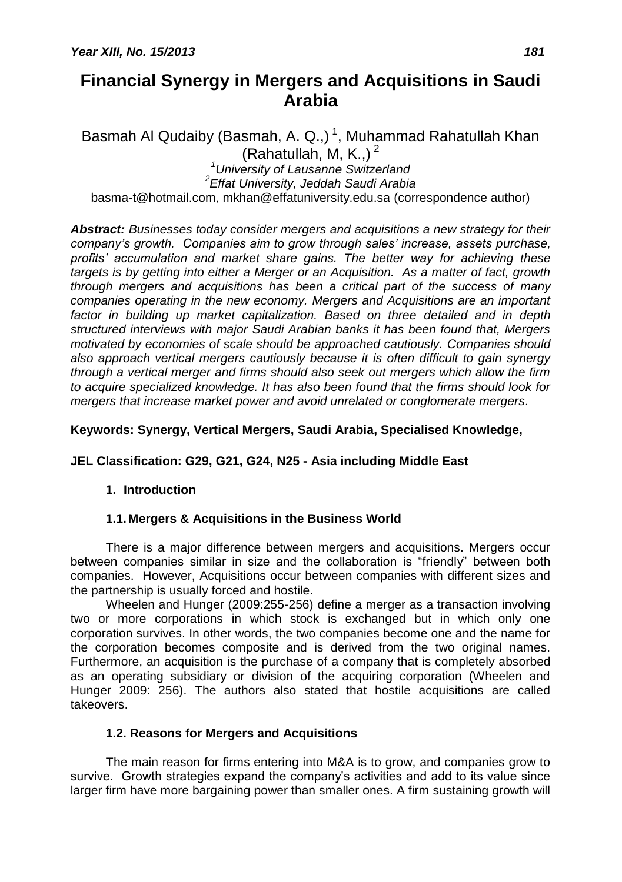# **Financial Synergy in Mergers and Acquisitions in Saudi Arabia**

Basmah Al Qudaiby (Basmah, A. Q.,)<sup>1</sup>, Muhammad Rahatullah Khan (Rahatullah, M, K.,) $^2$ *<sup>1</sup>University of Lausanne Switzerland 2 Effat University, Jeddah Saudi Arabia*

basma-t@hotmail.com, [mkhan@effatuniversity.edu.sa](mailto:mkhan@effatuniversity.edu.sa) (correspondence author)

*Abstract: Businesses today consider mergers and acquisitions a new strategy for their company's growth. Companies aim to grow through sales' increase, assets purchase, profits' accumulation and market share gains. The better way for achieving these targets is by getting into either a Merger or an Acquisition. As a matter of fact, growth through mergers and acquisitions has been a critical part of the success of many companies operating in the new economy. Mergers and Acquisitions are an important factor in building up market capitalization. Based on three detailed and in depth structured interviews with major Saudi Arabian banks it has been found that, Mergers motivated by economies of scale should be approached cautiously. Companies should also approach vertical mergers cautiously because it is often difficult to gain synergy through a vertical merger and firms should also seek out mergers which allow the firm to acquire specialized knowledge. It has also been found that the firms should look for mergers that increase market power and avoid unrelated or conglomerate mergers.*

# **Keywords: Synergy, Vertical Mergers, Saudi Arabia, Specialised Knowledge,**

# **JEL Classification: G29, G21, G24, N25 - Asia including Middle East**

# **1. Introduction**

# **1.1. Mergers & Acquisitions in the Business World**

There is a major difference between mergers and acquisitions. Mergers occur between companies similar in size and the collaboration is "friendly" between both companies. However, Acquisitions occur between companies with different sizes and the partnership is usually forced and hostile.

Wheelen and Hunger (2009:255-256) define a merger as a transaction involving two or more corporations in which stock is exchanged but in which only one corporation survives. In other words, the two companies become one and the name for the corporation becomes composite and is derived from the two original names. Furthermore, an acquisition is the purchase of a company that is completely absorbed as an operating subsidiary or division of the acquiring corporation (Wheelen and Hunger 2009: 256). The authors also stated that hostile acquisitions are called takeovers.

# **1.2. Reasons for Mergers and Acquisitions**

The main reason for firms entering into M&A is to grow, and companies grow to survive. Growth strategies expand the company's activities and add to its value since larger firm have more bargaining power than smaller ones. A firm sustaining growth will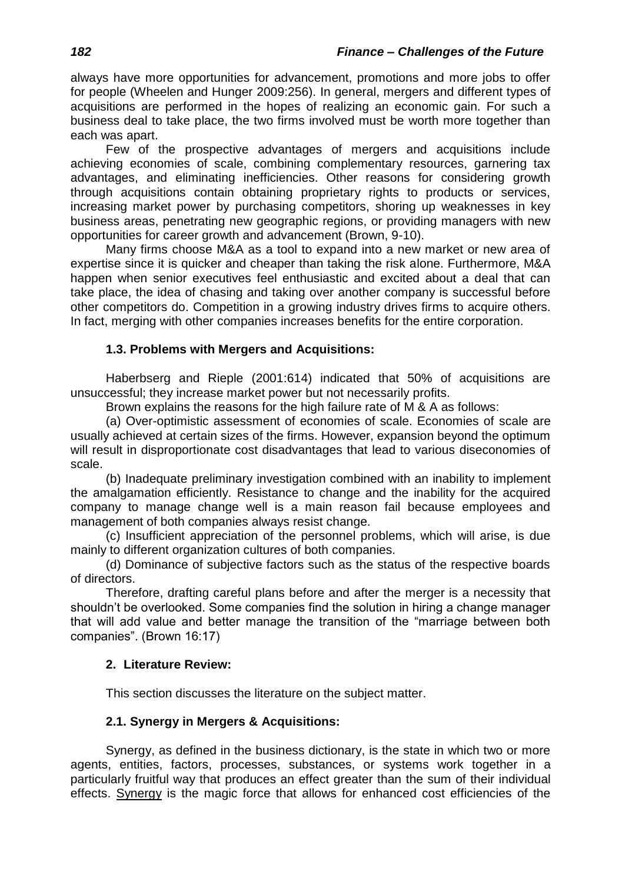always have more opportunities for advancement, promotions and more jobs to offer for people (Wheelen and Hunger 2009:256). In general, mergers and different types of acquisitions are performed in the hopes of realizing an economic gain. For such a business deal to take place, the two firms involved must be worth more together than each was apart.

Few of the prospective advantages of mergers and acquisitions include achieving economies of scale, combining complementary resources, garnering tax advantages, and eliminating inefficiencies. Other reasons for considering growth through acquisitions contain obtaining proprietary rights to products or services, increasing market power by purchasing competitors, shoring up weaknesses in key business areas, penetrating new geographic regions, or providing managers with new opportunities for career growth and advancement (Brown, 9-10).

Many firms choose M&A as a tool to expand into a new market or new area of expertise since it is quicker and cheaper than taking the risk alone. Furthermore, M&A happen when senior executives feel enthusiastic and excited about a deal that can take place, the idea of chasing and taking over another company is successful before other competitors do. Competition in a growing industry drives firms to acquire others. In fact, merging with other companies increases benefits for the entire corporation.

# **1.3. Problems with Mergers and Acquisitions:**

Haberbserg and Rieple (2001:614) indicated that 50% of acquisitions are unsuccessful; they increase market power but not necessarily profits.

Brown explains the reasons for the high failure rate of M & A as follows:

(a) Over-optimistic assessment of economies of scale. Economies of scale are usually achieved at certain sizes of the firms. However, expansion beyond the optimum will result in disproportionate cost disadvantages that lead to various diseconomies of scale.

(b) Inadequate preliminary investigation combined with an inability to implement the amalgamation efficiently. Resistance to change and the inability for the acquired company to manage change well is a main reason fail because employees and management of both companies always resist change.

(c) Insufficient appreciation of the personnel problems, which will arise, is due mainly to different organization cultures of both companies.

(d) Dominance of subjective factors such as the status of the respective boards of directors.

Therefore, drafting careful plans before and after the merger is a necessity that shouldn't be overlooked. Some companies find the solution in hiring a change manager that will add value and better manage the transition of the "marriage between both companies". (Brown 16:17)

# **2. Literature Review:**

This section discusses the literature on the subject matter.

# **2.1. Synergy in Mergers & Acquisitions:**

Synergy, as defined in the business dictionary, is the state in which two or more [agents,](http://www.businessdictionary.com/definition/agent.html) [entities,](http://www.businessdictionary.com/definition/entity.html) [factors,](http://www.businessdictionary.com/definition/factor.html) processes, substances, or [systems](http://www.businessdictionary.com/definition/system.html) [work](http://www.businessdictionary.com/definition/work.html) together in a particularly fruitful way that [produces](http://www.businessdictionary.com/definition/produce.html) an effect greater than the [sum](http://www.businessdictionary.com/definition/sum.html) of their [individual](http://www.businessdictionary.com/definition/individual.html) [effects.](http://www.investorwords.com/9552/effect.html) [Synergy](http://www.investopedia.com/terms/s/synergy.asp) is the magic force that allows for enhanced cost efficiencies of the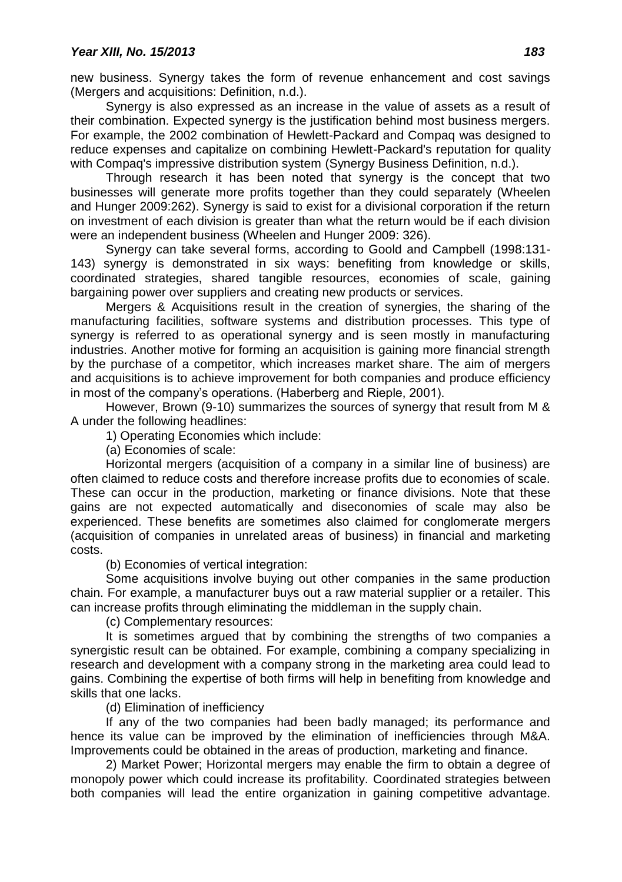new business. Synergy takes the form of revenue enhancement and cost savings (Mergers and acquisitions: Definition, n.d.).

Synergy is also expressed as an increase in the value of assets as a result of their combination. Expected synergy is the justification behind most business mergers. For example, the 2002 combination of Hewlett-Packard and Compaq was designed to reduce expenses and capitalize on combining Hewlett-Packard's reputation for quality with Compaq's impressive distribution system (Synergy Business Definition, n.d.).

Through research it has been noted that synergy is the concept that two businesses will generate more profits together than they could separately (Wheelen and Hunger 2009:262). Synergy is said to exist for a divisional corporation if the return on investment of each division is greater than what the return would be if each division were an independent business (Wheelen and Hunger 2009: 326).

Synergy can take several forms, according to Goold and Campbell (1998:131- 143) synergy is demonstrated in six ways: benefiting from knowledge or skills, coordinated strategies, shared tangible resources, economies of scale, gaining bargaining power over suppliers and creating new products or services.

Mergers & Acquisitions result in the creation of synergies, the sharing of the manufacturing facilities, software systems and distribution processes. This type of synergy is referred to as operational synergy and is seen mostly in manufacturing industries. Another motive for forming an acquisition is gaining more financial strength by the purchase of a competitor, which increases market share. The aim of mergers and acquisitions is to achieve improvement for both companies and produce efficiency in most of the company's operations. (Haberberg and Rieple, 2001).

However, Brown (9-10) summarizes the sources of synergy that result from M & A under the following headlines:

1) Operating Economies which include:

(a) Economies of scale:

Horizontal mergers (acquisition of a company in a similar line of business) are often claimed to reduce costs and therefore increase profits due to economies of scale. These can occur in the production, marketing or finance divisions. Note that these gains are not expected automatically and diseconomies of scale may also be experienced. These benefits are sometimes also claimed for conglomerate mergers (acquisition of companies in unrelated areas of business) in financial and marketing costs.

(b) Economies of vertical integration:

Some acquisitions involve buying out other companies in the same production chain. For example, a manufacturer buys out a raw material supplier or a retailer. This can increase profits through eliminating the middleman in the supply chain.

(c) Complementary resources:

It is sometimes argued that by combining the strengths of two companies a synergistic result can be obtained. For example, combining a company specializing in research and development with a company strong in the marketing area could lead to gains. Combining the expertise of both firms will help in benefiting from knowledge and skills that one lacks.

# (d) Elimination of inefficiency

If any of the two companies had been badly managed; its performance and hence its value can be improved by the elimination of inefficiencies through M&A. Improvements could be obtained in the areas of production, marketing and finance.

2) Market Power; Horizontal mergers may enable the firm to obtain a degree of monopoly power which could increase its profitability. Coordinated strategies between both companies will lead the entire organization in gaining competitive advantage.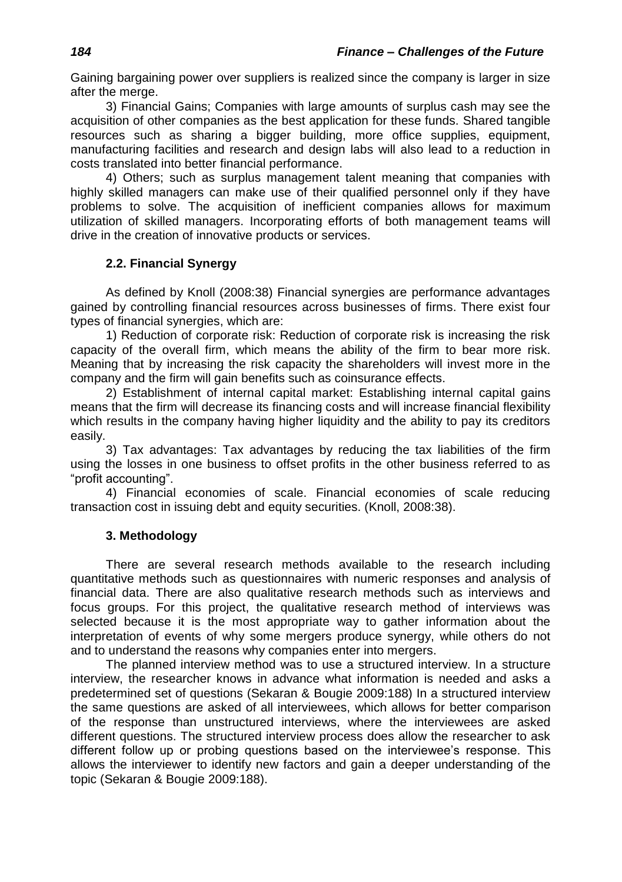Gaining bargaining power over suppliers is realized since the company is larger in size after the merge.

3) Financial Gains; Companies with large amounts of surplus cash may see the acquisition of other companies as the best application for these funds. Shared tangible resources such as sharing a bigger building, more office supplies, equipment, manufacturing facilities and research and design labs will also lead to a reduction in costs translated into better financial performance.

4) Others; such as surplus management talent meaning that companies with highly skilled managers can make use of their qualified personnel only if they have problems to solve. The acquisition of inefficient companies allows for maximum utilization of skilled managers. Incorporating efforts of both management teams will drive in the creation of innovative products or services.

# **2.2. Financial Synergy**

As defined by Knoll (2008:38) Financial synergies are performance advantages gained by controlling financial resources across businesses of firms. There exist four types of financial synergies, which are:

1) Reduction of corporate risk: Reduction of corporate risk is increasing the risk capacity of the overall firm, which means the ability of the firm to bear more risk. Meaning that by increasing the risk capacity the shareholders will invest more in the company and the firm will gain benefits such as coinsurance effects.

2) Establishment of internal capital market: Establishing internal capital gains means that the firm will decrease its financing costs and will increase financial flexibility which results in the company having higher liquidity and the ability to pay its creditors easily.

3) Tax advantages: Tax advantages by reducing the tax liabilities of the firm using the losses in one business to offset profits in the other business referred to as "profit accounting".

4) Financial economies of scale. Financial economies of scale reducing transaction cost in issuing debt and equity securities. (Knoll, 2008:38).

# **3. Methodology**

There are several research methods available to the research including quantitative methods such as questionnaires with numeric responses and analysis of financial data. There are also qualitative research methods such as interviews and focus groups. For this project, the qualitative research method of interviews was selected because it is the most appropriate way to gather information about the interpretation of events of why some mergers produce synergy, while others do not and to understand the reasons why companies enter into mergers.

The planned interview method was to use a structured interview. In a structure interview, the researcher knows in advance what information is needed and asks a predetermined set of questions (Sekaran & Bougie 2009:188) In a structured interview the same questions are asked of all interviewees, which allows for better comparison of the response than unstructured interviews, where the interviewees are asked different questions. The structured interview process does allow the researcher to ask different follow up or probing questions based on the interviewee's response. This allows the interviewer to identify new factors and gain a deeper understanding of the topic (Sekaran & Bougie 2009:188).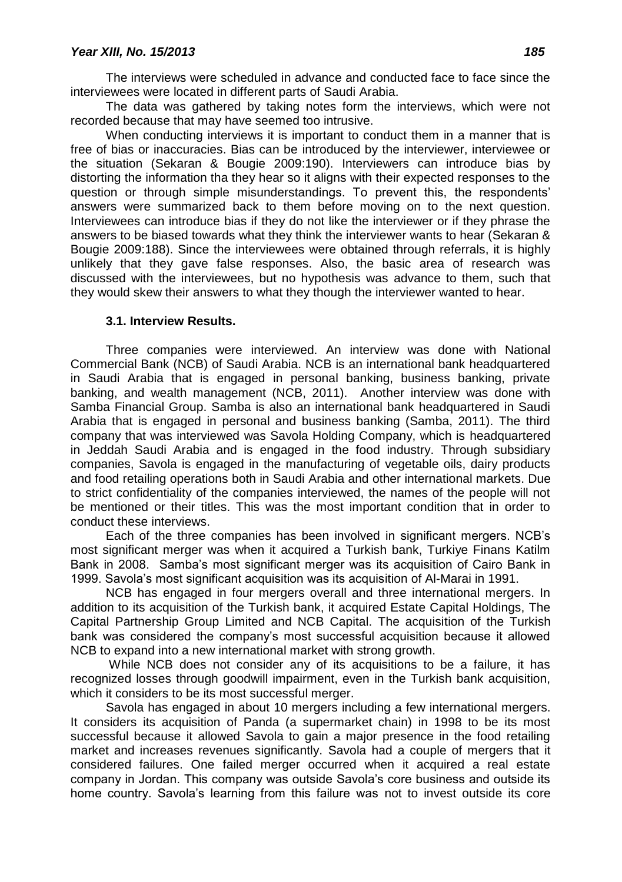The interviews were scheduled in advance and conducted face to face since the interviewees were located in different parts of Saudi Arabia.

The data was gathered by taking notes form the interviews, which were not recorded because that may have seemed too intrusive.

When conducting interviews it is important to conduct them in a manner that is free of bias or inaccuracies. Bias can be introduced by the interviewer, interviewee or the situation (Sekaran & Bougie 2009:190). Interviewers can introduce bias by distorting the information tha they hear so it aligns with their expected responses to the question or through simple misunderstandings. To prevent this, the respondents' answers were summarized back to them before moving on to the next question. Interviewees can introduce bias if they do not like the interviewer or if they phrase the answers to be biased towards what they think the interviewer wants to hear (Sekaran & Bougie 2009:188). Since the interviewees were obtained through referrals, it is highly unlikely that they gave false responses. Also, the basic area of research was discussed with the interviewees, but no hypothesis was advance to them, such that they would skew their answers to what they though the interviewer wanted to hear.

#### **3.1. Interview Results.**

Three companies were interviewed. An interview was done with National Commercial Bank (NCB) of Saudi Arabia. NCB is an international bank headquartered in Saudi Arabia that is engaged in personal banking, business banking, private banking, and wealth management (NCB, 2011). Another interview was done with Samba Financial Group. Samba is also an international bank headquartered in Saudi Arabia that is engaged in personal and business banking (Samba, 2011). The third company that was interviewed was Savola Holding Company, which is headquartered in Jeddah Saudi Arabia and is engaged in the food industry. Through subsidiary companies, Savola is engaged in the manufacturing of vegetable oils, dairy products and food retailing operations both in Saudi Arabia and other international markets. Due to strict confidentiality of the companies interviewed, the names of the people will not be mentioned or their titles. This was the most important condition that in order to conduct these interviews.

Each of the three companies has been involved in significant mergers. NCB's most significant merger was when it acquired a Turkish bank, Turkiye Finans Katilm Bank in 2008. Samba's most significant merger was its acquisition of Cairo Bank in 1999. Savola's most significant acquisition was its acquisition of Al-Marai in 1991.

NCB has engaged in four mergers overall and three international mergers. In addition to its acquisition of the Turkish bank, it acquired Estate Capital Holdings, The Capital Partnership Group Limited and NCB Capital. The acquisition of the Turkish bank was considered the company's most successful acquisition because it allowed NCB to expand into a new international market with strong growth.

While NCB does not consider any of its acquisitions to be a failure, it has recognized losses through goodwill impairment, even in the Turkish bank acquisition, which it considers to be its most successful merger.

Savola has engaged in about 10 mergers including a few international mergers. It considers its acquisition of Panda (a supermarket chain) in 1998 to be its most successful because it allowed Savola to gain a major presence in the food retailing market and increases revenues significantly. Savola had a couple of mergers that it considered failures. One failed merger occurred when it acquired a real estate company in Jordan. This company was outside Savola's core business and outside its home country. Savola's learning from this failure was not to invest outside its core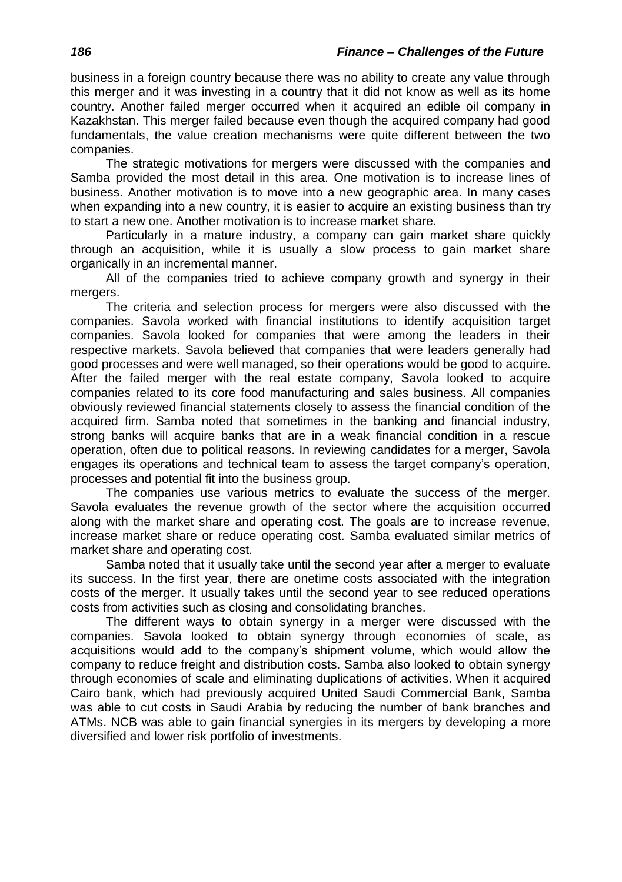business in a foreign country because there was no ability to create any value through this merger and it was investing in a country that it did not know as well as its home country. Another failed merger occurred when it acquired an edible oil company in Kazakhstan. This merger failed because even though the acquired company had good fundamentals, the value creation mechanisms were quite different between the two companies.

The strategic motivations for mergers were discussed with the companies and Samba provided the most detail in this area. One motivation is to increase lines of business. Another motivation is to move into a new geographic area. In many cases when expanding into a new country, it is easier to acquire an existing business than try to start a new one. Another motivation is to increase market share.

Particularly in a mature industry, a company can gain market share quickly through an acquisition, while it is usually a slow process to gain market share organically in an incremental manner.

All of the companies tried to achieve company growth and synergy in their mergers.

The criteria and selection process for mergers were also discussed with the companies. Savola worked with financial institutions to identify acquisition target companies. Savola looked for companies that were among the leaders in their respective markets. Savola believed that companies that were leaders generally had good processes and were well managed, so their operations would be good to acquire. After the failed merger with the real estate company, Savola looked to acquire companies related to its core food manufacturing and sales business. All companies obviously reviewed financial statements closely to assess the financial condition of the acquired firm. Samba noted that sometimes in the banking and financial industry, strong banks will acquire banks that are in a weak financial condition in a rescue operation, often due to political reasons. In reviewing candidates for a merger, Savola engages its operations and technical team to assess the target company's operation, processes and potential fit into the business group.

The companies use various metrics to evaluate the success of the merger. Savola evaluates the revenue growth of the sector where the acquisition occurred along with the market share and operating cost. The goals are to increase revenue, increase market share or reduce operating cost. Samba evaluated similar metrics of market share and operating cost.

Samba noted that it usually take until the second year after a merger to evaluate its success. In the first year, there are onetime costs associated with the integration costs of the merger. It usually takes until the second year to see reduced operations costs from activities such as closing and consolidating branches.

The different ways to obtain synergy in a merger were discussed with the companies. Savola looked to obtain synergy through economies of scale, as acquisitions would add to the company's shipment volume, which would allow the company to reduce freight and distribution costs. Samba also looked to obtain synergy through economies of scale and eliminating duplications of activities. When it acquired Cairo bank, which had previously acquired United Saudi Commercial Bank, Samba was able to cut costs in Saudi Arabia by reducing the number of bank branches and ATMs. NCB was able to gain financial synergies in its mergers by developing a more diversified and lower risk portfolio of investments.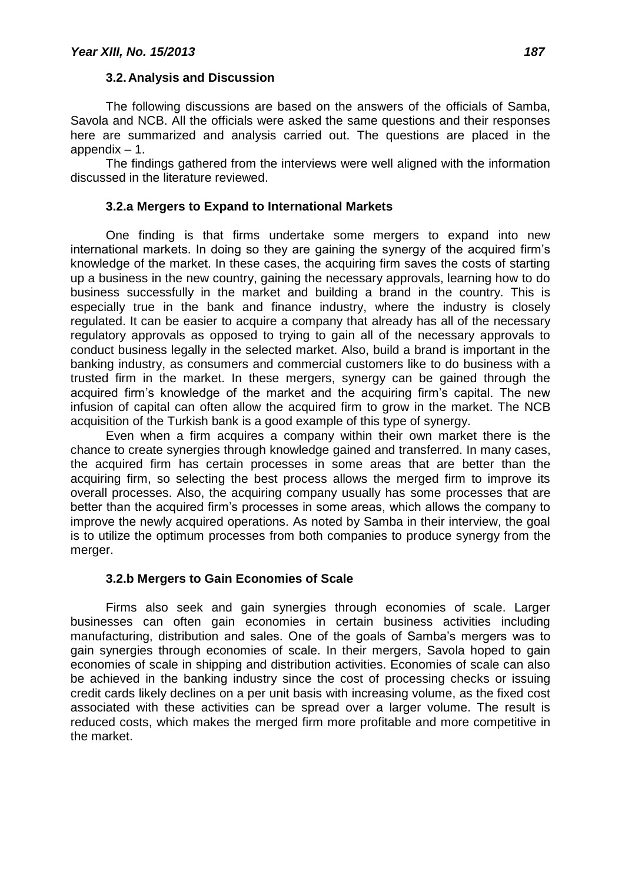#### **3.2.Analysis and Discussion**

The following discussions are based on the answers of the officials of Samba, Savola and NCB. All the officials were asked the same questions and their responses here are summarized and analysis carried out. The questions are placed in the appendix – 1.

The findings gathered from the interviews were well aligned with the information discussed in the literature reviewed.

# **3.2.a Mergers to Expand to International Markets**

One finding is that firms undertake some mergers to expand into new international markets. In doing so they are gaining the synergy of the acquired firm's knowledge of the market. In these cases, the acquiring firm saves the costs of starting up a business in the new country, gaining the necessary approvals, learning how to do business successfully in the market and building a brand in the country. This is especially true in the bank and finance industry, where the industry is closely regulated. It can be easier to acquire a company that already has all of the necessary regulatory approvals as opposed to trying to gain all of the necessary approvals to conduct business legally in the selected market. Also, build a brand is important in the banking industry, as consumers and commercial customers like to do business with a trusted firm in the market. In these mergers, synergy can be gained through the acquired firm's knowledge of the market and the acquiring firm's capital. The new infusion of capital can often allow the acquired firm to grow in the market. The NCB acquisition of the Turkish bank is a good example of this type of synergy.

Even when a firm acquires a company within their own market there is the chance to create synergies through knowledge gained and transferred. In many cases, the acquired firm has certain processes in some areas that are better than the acquiring firm, so selecting the best process allows the merged firm to improve its overall processes. Also, the acquiring company usually has some processes that are better than the acquired firm's processes in some areas, which allows the company to improve the newly acquired operations. As noted by Samba in their interview, the goal is to utilize the optimum processes from both companies to produce synergy from the merger.

# **3.2.b Mergers to Gain Economies of Scale**

Firms also seek and gain synergies through economies of scale. Larger businesses can often gain economies in certain business activities including manufacturing, distribution and sales. One of the goals of Samba's mergers was to gain synergies through economies of scale. In their mergers, Savola hoped to gain economies of scale in shipping and distribution activities. Economies of scale can also be achieved in the banking industry since the cost of processing checks or issuing credit cards likely declines on a per unit basis with increasing volume, as the fixed cost associated with these activities can be spread over a larger volume. The result is reduced costs, which makes the merged firm more profitable and more competitive in the market.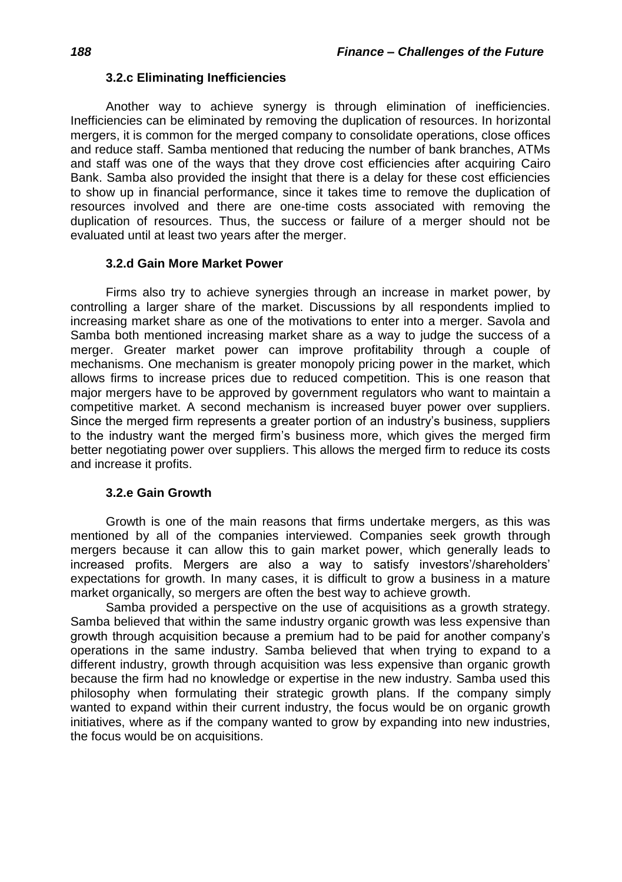## **3.2.c Eliminating Inefficiencies**

Another way to achieve synergy is through elimination of inefficiencies. Inefficiencies can be eliminated by removing the duplication of resources. In horizontal mergers, it is common for the merged company to consolidate operations, close offices and reduce staff. Samba mentioned that reducing the number of bank branches, ATMs and staff was one of the ways that they drove cost efficiencies after acquiring Cairo Bank. Samba also provided the insight that there is a delay for these cost efficiencies to show up in financial performance, since it takes time to remove the duplication of resources involved and there are one-time costs associated with removing the duplication of resources. Thus, the success or failure of a merger should not be evaluated until at least two years after the merger.

### **3.2.d Gain More Market Power**

Firms also try to achieve synergies through an increase in market power, by controlling a larger share of the market. Discussions by all respondents implied to increasing market share as one of the motivations to enter into a merger. Savola and Samba both mentioned increasing market share as a way to judge the success of a merger. Greater market power can improve profitability through a couple of mechanisms. One mechanism is greater monopoly pricing power in the market, which allows firms to increase prices due to reduced competition. This is one reason that major mergers have to be approved by government regulators who want to maintain a competitive market. A second mechanism is increased buyer power over suppliers. Since the merged firm represents a greater portion of an industry's business, suppliers to the industry want the merged firm's business more, which gives the merged firm better negotiating power over suppliers. This allows the merged firm to reduce its costs and increase it profits.

# **3.2.e Gain Growth**

Growth is one of the main reasons that firms undertake mergers, as this was mentioned by all of the companies interviewed. Companies seek growth through mergers because it can allow this to gain market power, which generally leads to increased profits. Mergers are also a way to satisfy investors'/shareholders' expectations for growth. In many cases, it is difficult to grow a business in a mature market organically, so mergers are often the best way to achieve growth.

Samba provided a perspective on the use of acquisitions as a growth strategy. Samba believed that within the same industry organic growth was less expensive than growth through acquisition because a premium had to be paid for another company's operations in the same industry. Samba believed that when trying to expand to a different industry, growth through acquisition was less expensive than organic growth because the firm had no knowledge or expertise in the new industry. Samba used this philosophy when formulating their strategic growth plans. If the company simply wanted to expand within their current industry, the focus would be on organic growth initiatives, where as if the company wanted to grow by expanding into new industries, the focus would be on acquisitions.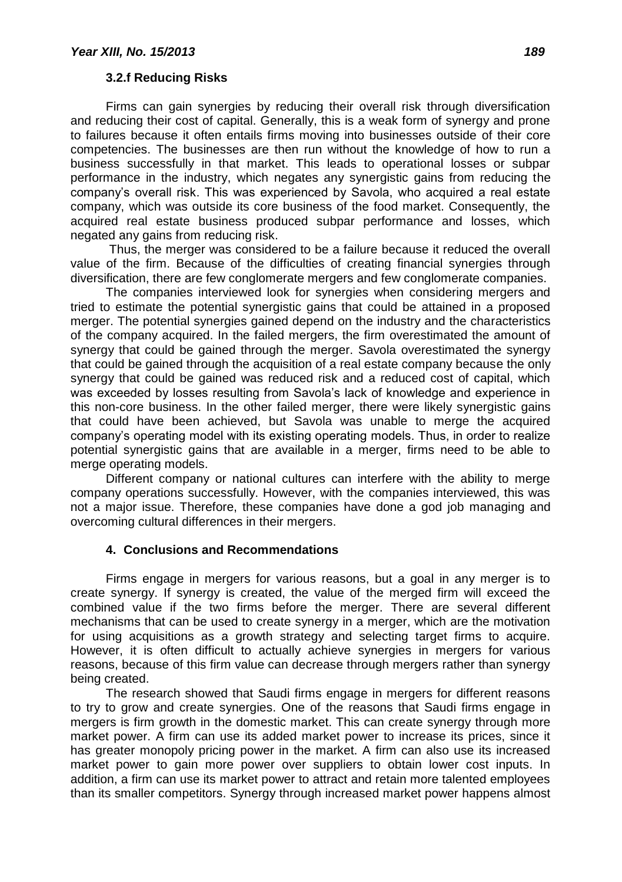## **3.2.f Reducing Risks**

Firms can gain synergies by reducing their overall risk through diversification and reducing their cost of capital. Generally, this is a weak form of synergy and prone to failures because it often entails firms moving into businesses outside of their core competencies. The businesses are then run without the knowledge of how to run a business successfully in that market. This leads to operational losses or subpar performance in the industry, which negates any synergistic gains from reducing the company's overall risk. This was experienced by Savola, who acquired a real estate company, which was outside its core business of the food market. Consequently, the acquired real estate business produced subpar performance and losses, which negated any gains from reducing risk.

Thus, the merger was considered to be a failure because it reduced the overall value of the firm. Because of the difficulties of creating financial synergies through diversification, there are few conglomerate mergers and few conglomerate companies.

The companies interviewed look for synergies when considering mergers and tried to estimate the potential synergistic gains that could be attained in a proposed merger. The potential synergies gained depend on the industry and the characteristics of the company acquired. In the failed mergers, the firm overestimated the amount of synergy that could be gained through the merger. Savola overestimated the synergy that could be gained through the acquisition of a real estate company because the only synergy that could be gained was reduced risk and a reduced cost of capital, which was exceeded by losses resulting from Savola's lack of knowledge and experience in this non-core business. In the other failed merger, there were likely synergistic gains that could have been achieved, but Savola was unable to merge the acquired company's operating model with its existing operating models. Thus, in order to realize potential synergistic gains that are available in a merger, firms need to be able to merge operating models.

Different company or national cultures can interfere with the ability to merge company operations successfully. However, with the companies interviewed, this was not a major issue. Therefore, these companies have done a god job managing and overcoming cultural differences in their mergers.

# **4. Conclusions and Recommendations**

Firms engage in mergers for various reasons, but a goal in any merger is to create synergy. If synergy is created, the value of the merged firm will exceed the combined value if the two firms before the merger. There are several different mechanisms that can be used to create synergy in a merger, which are the motivation for using acquisitions as a growth strategy and selecting target firms to acquire. However, it is often difficult to actually achieve synergies in mergers for various reasons, because of this firm value can decrease through mergers rather than synergy being created.

The research showed that Saudi firms engage in mergers for different reasons to try to grow and create synergies. One of the reasons that Saudi firms engage in mergers is firm growth in the domestic market. This can create synergy through more market power. A firm can use its added market power to increase its prices, since it has greater monopoly pricing power in the market. A firm can also use its increased market power to gain more power over suppliers to obtain lower cost inputs. In addition, a firm can use its market power to attract and retain more talented employees than its smaller competitors. Synergy through increased market power happens almost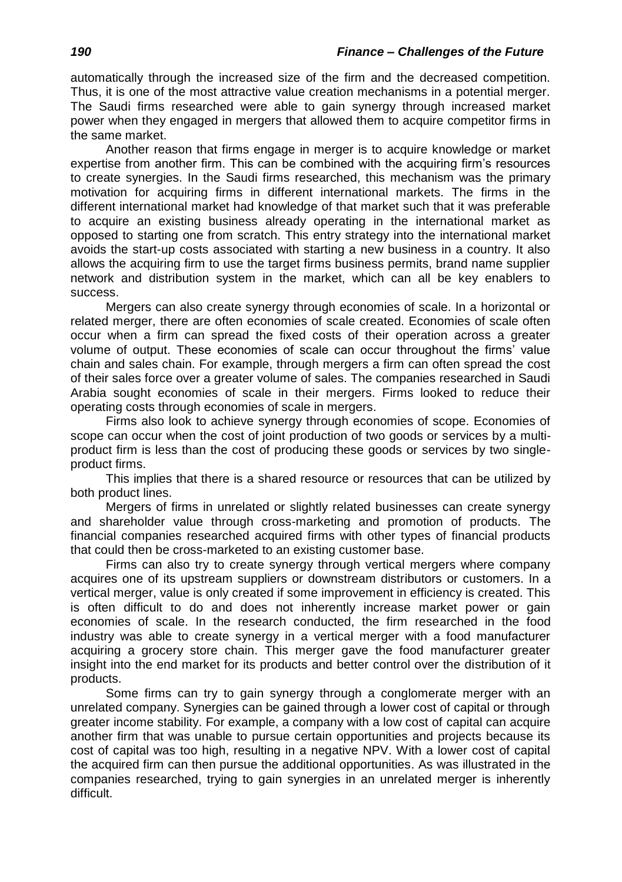automatically through the increased size of the firm and the decreased competition. Thus, it is one of the most attractive value creation mechanisms in a potential merger. The Saudi firms researched were able to gain synergy through increased market power when they engaged in mergers that allowed them to acquire competitor firms in the same market.

Another reason that firms engage in merger is to acquire knowledge or market expertise from another firm. This can be combined with the acquiring firm's resources to create synergies. In the Saudi firms researched, this mechanism was the primary motivation for acquiring firms in different international markets. The firms in the different international market had knowledge of that market such that it was preferable to acquire an existing business already operating in the international market as opposed to starting one from scratch. This entry strategy into the international market avoids the start-up costs associated with starting a new business in a country. It also allows the acquiring firm to use the target firms business permits, brand name supplier network and distribution system in the market, which can all be key enablers to success.

Mergers can also create synergy through economies of scale. In a horizontal or related merger, there are often economies of scale created. Economies of scale often occur when a firm can spread the fixed costs of their operation across a greater volume of output. These economies of scale can occur throughout the firms' value chain and sales chain. For example, through mergers a firm can often spread the cost of their sales force over a greater volume of sales. The companies researched in Saudi Arabia sought economies of scale in their mergers. Firms looked to reduce their operating costs through economies of scale in mergers.

Firms also look to achieve synergy through economies of scope. Economies of scope can occur when the cost of joint production of two goods or services by a multiproduct firm is less than the cost of producing these goods or services by two singleproduct firms.

This implies that there is a shared resource or resources that can be utilized by both product lines.

Mergers of firms in unrelated or slightly related businesses can create synergy and shareholder value through cross-marketing and promotion of products. The financial companies researched acquired firms with other types of financial products that could then be cross-marketed to an existing customer base.

Firms can also try to create synergy through vertical mergers where company acquires one of its upstream suppliers or downstream distributors or customers. In a vertical merger, value is only created if some improvement in efficiency is created. This is often difficult to do and does not inherently increase market power or gain economies of scale. In the research conducted, the firm researched in the food industry was able to create synergy in a vertical merger with a food manufacturer acquiring a grocery store chain. This merger gave the food manufacturer greater insight into the end market for its products and better control over the distribution of it products.

Some firms can try to gain synergy through a conglomerate merger with an unrelated company. Synergies can be gained through a lower cost of capital or through greater income stability. For example, a company with a low cost of capital can acquire another firm that was unable to pursue certain opportunities and projects because its cost of capital was too high, resulting in a negative NPV. With a lower cost of capital the acquired firm can then pursue the additional opportunities. As was illustrated in the companies researched, trying to gain synergies in an unrelated merger is inherently difficult.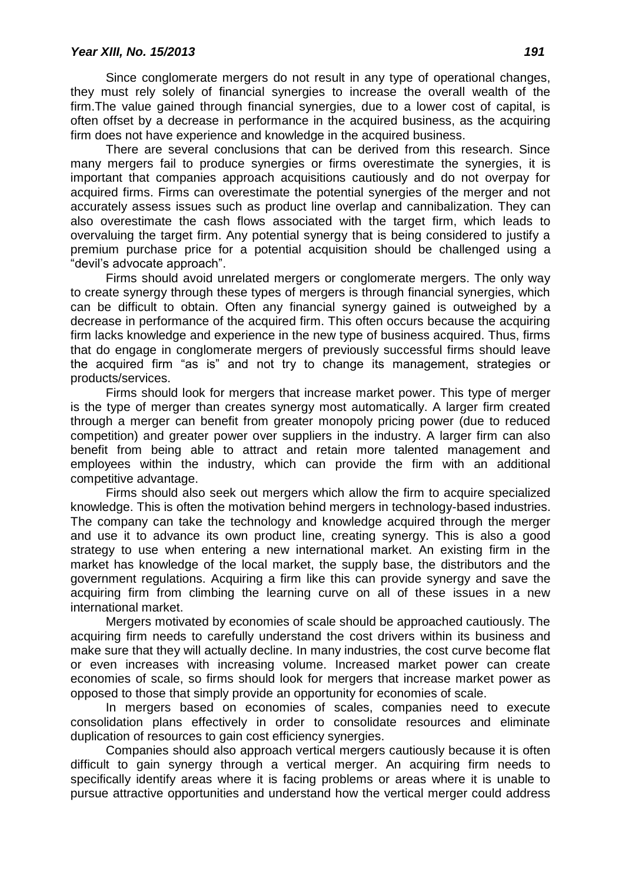Since conglomerate mergers do not result in any type of operational changes, they must rely solely of financial synergies to increase the overall wealth of the firm.The value gained through financial synergies, due to a lower cost of capital, is often offset by a decrease in performance in the acquired business, as the acquiring firm does not have experience and knowledge in the acquired business.

There are several conclusions that can be derived from this research. Since many mergers fail to produce synergies or firms overestimate the synergies, it is important that companies approach acquisitions cautiously and do not overpay for acquired firms. Firms can overestimate the potential synergies of the merger and not accurately assess issues such as product line overlap and cannibalization. They can also overestimate the cash flows associated with the target firm, which leads to overvaluing the target firm. Any potential synergy that is being considered to justify a premium purchase price for a potential acquisition should be challenged using a "devil's advocate approach".

Firms should avoid unrelated mergers or conglomerate mergers. The only way to create synergy through these types of mergers is through financial synergies, which can be difficult to obtain. Often any financial synergy gained is outweighed by a decrease in performance of the acquired firm. This often occurs because the acquiring firm lacks knowledge and experience in the new type of business acquired. Thus, firms that do engage in conglomerate mergers of previously successful firms should leave the acquired firm "as is" and not try to change its management, strategies or products/services.

Firms should look for mergers that increase market power. This type of merger is the type of merger than creates synergy most automatically. A larger firm created through a merger can benefit from greater monopoly pricing power (due to reduced competition) and greater power over suppliers in the industry. A larger firm can also benefit from being able to attract and retain more talented management and employees within the industry, which can provide the firm with an additional competitive advantage.

Firms should also seek out mergers which allow the firm to acquire specialized knowledge. This is often the motivation behind mergers in technology-based industries. The company can take the technology and knowledge acquired through the merger and use it to advance its own product line, creating synergy. This is also a good strategy to use when entering a new international market. An existing firm in the market has knowledge of the local market, the supply base, the distributors and the government regulations. Acquiring a firm like this can provide synergy and save the acquiring firm from climbing the learning curve on all of these issues in a new international market.

Mergers motivated by economies of scale should be approached cautiously. The acquiring firm needs to carefully understand the cost drivers within its business and make sure that they will actually decline. In many industries, the cost curve become flat or even increases with increasing volume. Increased market power can create economies of scale, so firms should look for mergers that increase market power as opposed to those that simply provide an opportunity for economies of scale.

In mergers based on economies of scales, companies need to execute consolidation plans effectively in order to consolidate resources and eliminate duplication of resources to gain cost efficiency synergies.

Companies should also approach vertical mergers cautiously because it is often difficult to gain synergy through a vertical merger. An acquiring firm needs to specifically identify areas where it is facing problems or areas where it is unable to pursue attractive opportunities and understand how the vertical merger could address